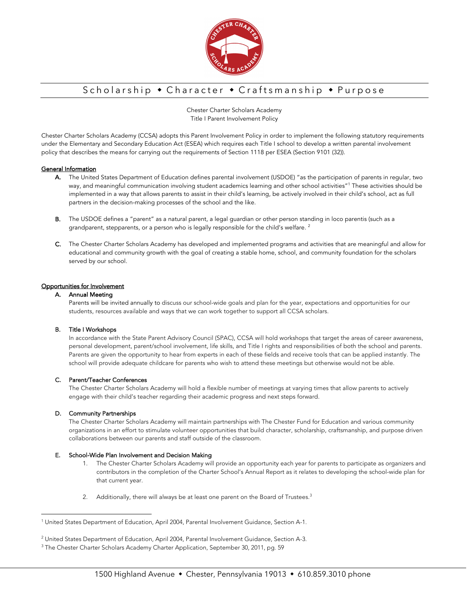

## Scholarship • Character • Craftsmanship • Purpose

Chester Charter Scholars Academy Title I Parent Involvement Policy

Chester Charter Scholars Academy (CCSA) adopts this Parent Involvement Policy in order to implement the following statutory requirements under the Elementary and Secondary Education Act (ESEA) which requires each Title I school to develop a written parental involvement policy that describes the means for carrying out the requirements of Section 1118 per ESEA (Section 9101 (32)).

## General Information

- A. The United States Department of Education defines parental involvement (USDOE) "as the participation of parents in regular, two way, and meaningful communication involving student academics learning and other school activities"<sup>1</sup> These activities should be implemented in a way that allows parents to assist in their child's learning, be actively involved in their child's school, act as full partners in the decision-making processes of the school and the like.
- B. The USDOE defines a "parent" as a natural parent, a legal guardian or other person standing in loco parentis (such as a grandparent, stepparents, or a person who is legally responsible for the child's welfare.<sup>2</sup>
- C. The Chester Charter Scholars Academy has developed and implemented programs and activities that are meaningful and allow for educational and community growth with the goal of creating a stable home, school, and community foundation for the scholars served by our school.

## Opportunities for Involvement

## A. Annual Meeting

Parents will be invited annually to discuss our school-wide goals and plan for the year, expectations and opportunities for our students, resources available and ways that we can work together to support all CCSA scholars.

#### B. Title I Workshops

In accordance with the State Parent Advisory Council (SPAC), CCSA will hold workshops that target the areas of career awareness, personal development, parent/school involvement, life skills, and Title I rights and responsibilities of both the school and parents. Parents are given the opportunity to hear from experts in each of these fields and receive tools that can be applied instantly. The school will provide adequate childcare for parents who wish to attend these meetings but otherwise would not be able.

## C. Parent/Teacher Conferences

The Chester Charter Scholars Academy will hold a flexible number of meetings at varying times that allow parents to actively engage with their child's teacher regarding their academic progress and next steps forward.

#### D. Community Partnerships

The Chester Charter Scholars Academy will maintain partnerships with The Chester Fund for Education and various community organizations in an effort to stimulate volunteer opportunities that build character, scholarship, craftsmanship, and purpose driven collaborations between our parents and staff outside of the classroom.

#### E. School-Wide Plan Involvement and Decision Making

- 1. The Chester Charter Scholars Academy will provide an opportunity each year for parents to participate as organizers and contributors in the completion of the Charter School's Annual Report as it relates to developing the school-wide plan for that current year.
- 2. Additionally, there will always be at least one parent on the Board of Trustees.<sup>3</sup>

<sup>&</sup>lt;sup>1</sup> United States Department of Education, April 2004, Parental Involvement Guidance, Section A-1.

<sup>2</sup> United States Department of Education, April 2004, Parental Involvement Guidance, Section A-3.

<sup>&</sup>lt;sup>3</sup> The Chester Charter Scholars Academy Charter Application, September 30, 2011, pg. 59